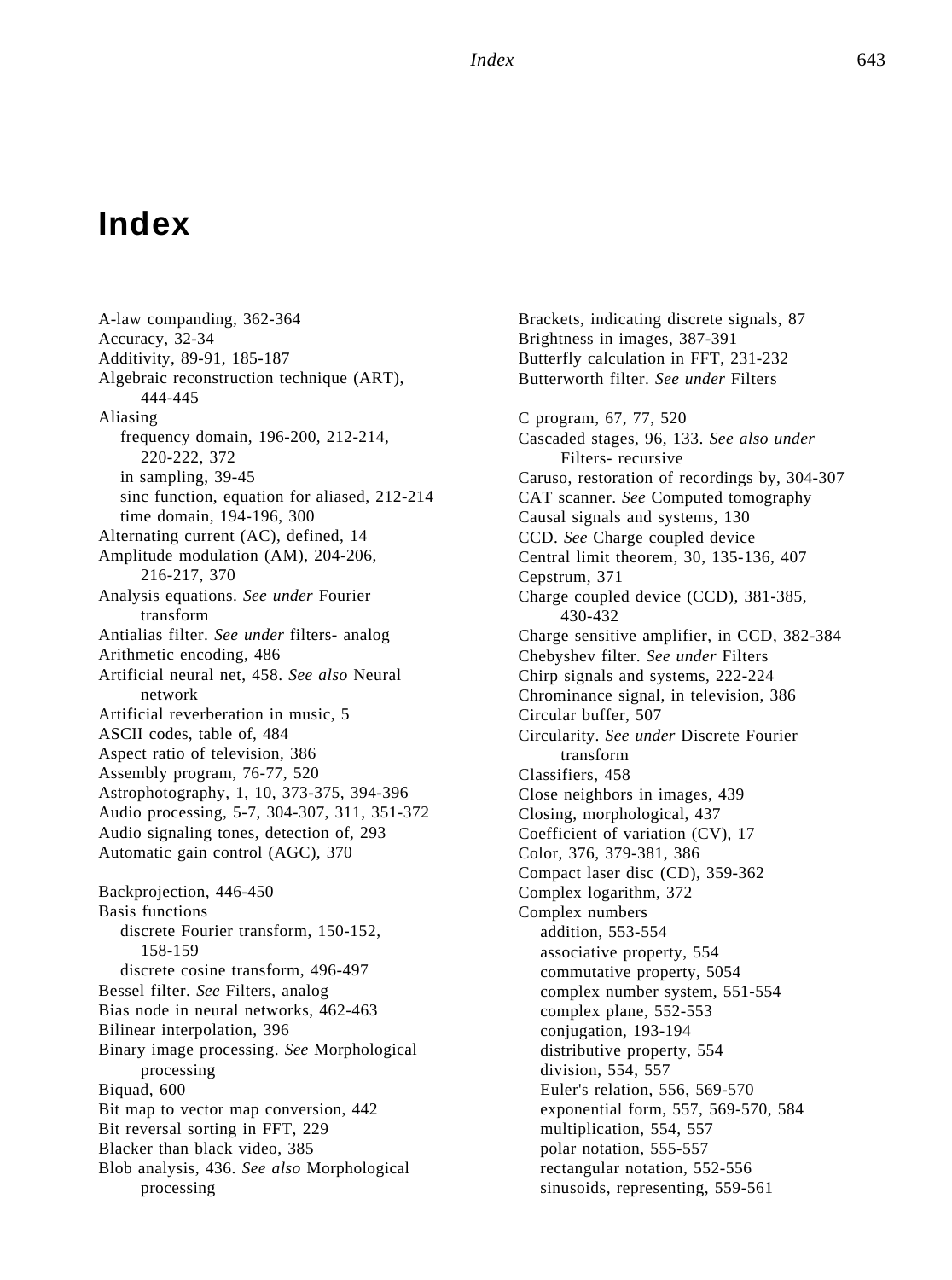## **Index**

A-law companding, 362-364 Accuracy, 32-34 Additivity, 89-91, 185-187 Algebraic reconstruction technique (ART), 444-445 Aliasing frequency domain, 196-200, 212-214, 220-222, 372 in sampling, 39-45 sinc function, equation for aliased, 212-214 time domain, 194-196, 300 Alternating current (AC), defined, 14 Amplitude modulation (AM), 204-206, 216-217, 370 Analysis equations. *See under* Fourier transform Antialias filter. *See under* filters- analog Arithmetic encoding, 486 Artificial neural net, 458. *See also* Neural network Artificial reverberation in music, 5 ASCII codes, table of, 484 Aspect ratio of television, 386 Assembly program, 76-77, 520 Astrophotography, 1, 10, 373-375, 394-396 Audio processing, 5-7, 304-307, 311, 351-372 Audio signaling tones, detection of, 293 Automatic gain control (AGC), 370 Backprojection, 446-450 Basis functions discrete Fourier transform, 150-152, 158-159 discrete cosine transform, 496-497 Bessel filter. *See* Filters, analog Bias node in neural networks, 462-463 Bilinear interpolation, 396 Binary image processing. *See* Morphological processing Biquad, 600 Bit map to vector map conversion, 442 Bit reversal sorting in FFT, 229 Blacker than black video, 385 Blob analysis, 436. *See also* Morphological processing

Brackets, indicating discrete signals, 87 Brightness in images, 387-391 Butterfly calculation in FFT, 231-232 Butterworth filter. *See under* Filters C program, 67, 77, 520 Cascaded stages, 96, 133. *See also under* Filters- recursive Caruso, restoration of recordings by, 304-307 CAT scanner. *See* Computed tomography Causal signals and systems, 130 CCD. *See* Charge coupled device Central limit theorem, 30, 135-136, 407 Cepstrum, 371 Charge coupled device (CCD), 381-385, 430-432 Charge sensitive amplifier, in CCD, 382-384 Chebyshev filter. *See under* Filters Chirp signals and systems, 222-224 Chrominance signal, in television, 386 Circular buffer, 507 Circularity. *See under* Discrete Fourier transform Classifiers, 458 Close neighbors in images, 439 Closing, morphological, 437 Coefficient of variation (CV), 17 Color, 376, 379-381, 386 Compact laser disc (CD), 359-362 Complex logarithm, 372 Complex numbers addition, 553-554 associative property, 554 commutative property, 5054 complex number system, 551-554 complex plane, 552-553 conjugation, 193-194 distributive property, 554 division, 554, 557 Euler's relation, 556, 569-570 exponential form, 557, 569-570, 584 multiplication, 554, 557 polar notation, 555-557 rectangular notation, 552-556 sinusoids, representing, 559-561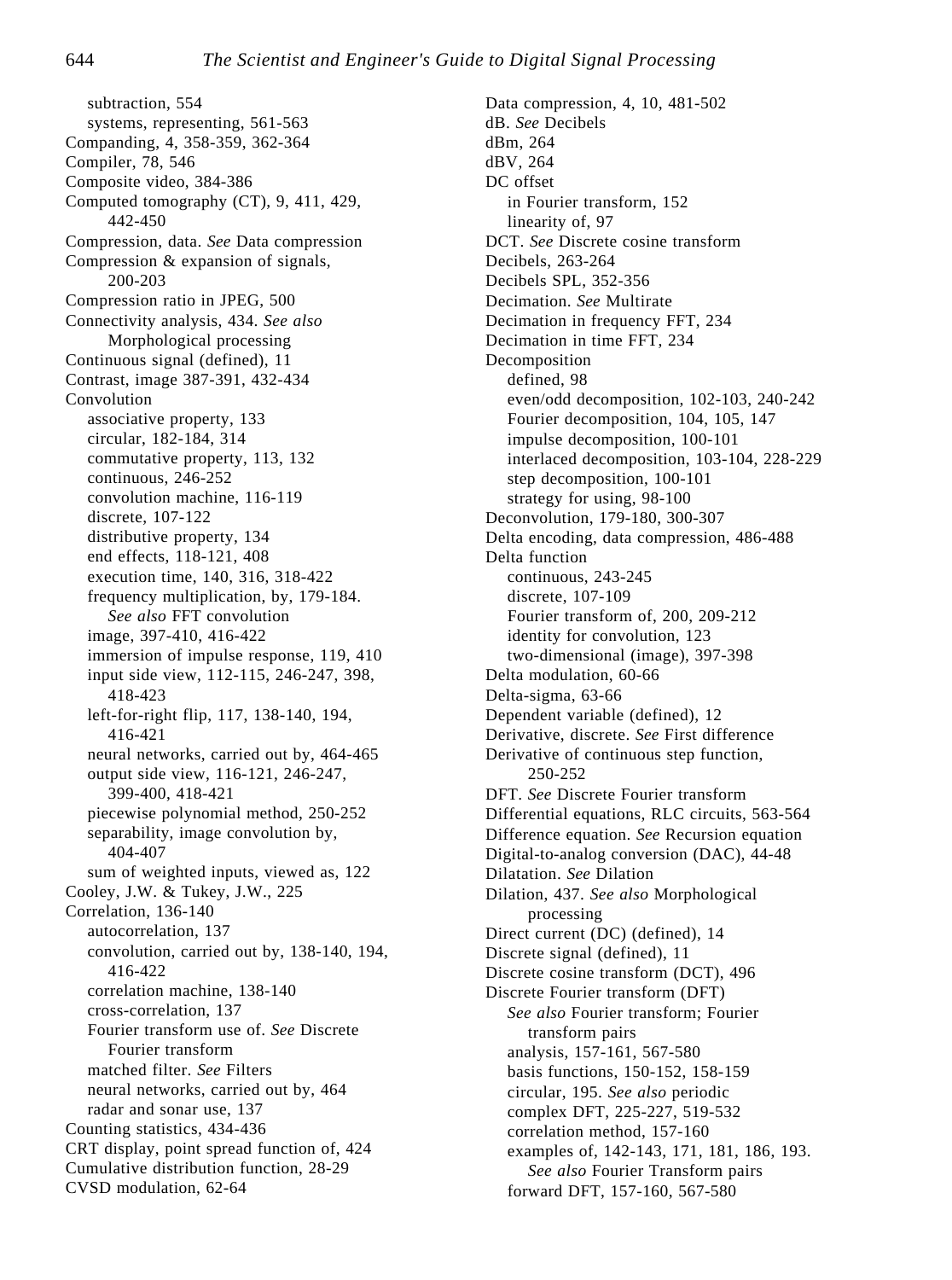subtraction, 554 systems, representing, 561-563 Companding, 4, 358-359, 362-364 Compiler, 78, 546 Composite video, 384-386 Computed tomography (CT), 9, 411, 429, 442-450 Compression, data. *See* Data compression Compression & expansion of signals, 200-203 Compression ratio in JPEG, 500 Connectivity analysis, 434. *See also* Morphological processing Continuous signal (defined), 11 Contrast, image 387-391, 432-434 Convolution associative property, 133 circular, 182-184, 314 commutative property, 113, 132 continuous, 246-252 convolution machine, 116-119 discrete, 107-122 distributive property, 134 end effects, 118-121, 408 execution time, 140, 316, 318-422 frequency multiplication, by, 179-184. *See also* FFT convolution image, 397-410, 416-422 immersion of impulse response, 119, 410 input side view, 112-115, 246-247, 398, 418-423 left-for-right flip, 117, 138-140, 194, 416-421 neural networks, carried out by, 464-465 output side view, 116-121, 246-247, 399-400, 418-421 piecewise polynomial method, 250-252 separability, image convolution by, 404-407 sum of weighted inputs, viewed as, 122 Cooley, J.W. & Tukey, J.W., 225 Correlation, 136-140 autocorrelation, 137 convolution, carried out by, 138-140, 194, 416-422 correlation machine, 138-140 cross-correlation, 137 Fourier transform use of. *See* Discrete Fourier transform matched filter. *See* Filters neural networks, carried out by, 464 radar and sonar use, 137 Counting statistics, 434-436 CRT display, point spread function of, 424 Cumulative distribution function, 28-29 CVSD modulation, 62-64

Data compression, 4, 10, 481-502 dB. *See* Decibels dBm, 264 dBV, 264 DC offset in Fourier transform, 152 linearity of, 97 DCT. *See* Discrete cosine transform Decibels, 263-264 Decibels SPL, 352-356 Decimation. *See* Multirate Decimation in frequency FFT, 234 Decimation in time FFT, 234 Decomposition defined, 98 even/odd decomposition, 102-103, 240-242 Fourier decomposition, 104, 105, 147 impulse decomposition, 100-101 interlaced decomposition, 103-104, 228-229 step decomposition, 100-101 strategy for using, 98-100 Deconvolution, 179-180, 300-307 Delta encoding, data compression, 486-488 Delta function continuous, 243-245 discrete, 107-109 Fourier transform of, 200, 209-212 identity for convolution, 123 two-dimensional (image), 397-398 Delta modulation, 60-66 Delta-sigma, 63-66 Dependent variable (defined), 12 Derivative, discrete. *See* First difference Derivative of continuous step function, 250-252 DFT. *See* Discrete Fourier transform Differential equations, RLC circuits, 563-564 Difference equation. *See* Recursion equation Digital-to-analog conversion (DAC), 44-48 Dilatation. *See* Dilation Dilation, 437. *See also* Morphological processing Direct current (DC) (defined), 14 Discrete signal (defined), 11 Discrete cosine transform (DCT), 496 Discrete Fourier transform (DFT) *See also* Fourier transform; Fourier transform pairs analysis, 157-161, 567-580 basis functions, 150-152, 158-159 circular, 195. *See also* periodic complex DFT, 225-227, 519-532 correlation method, 157-160 examples of, 142-143, 171, 181, 186, 193. *See also* Fourier Transform pairs forward DFT, 157-160, 567-580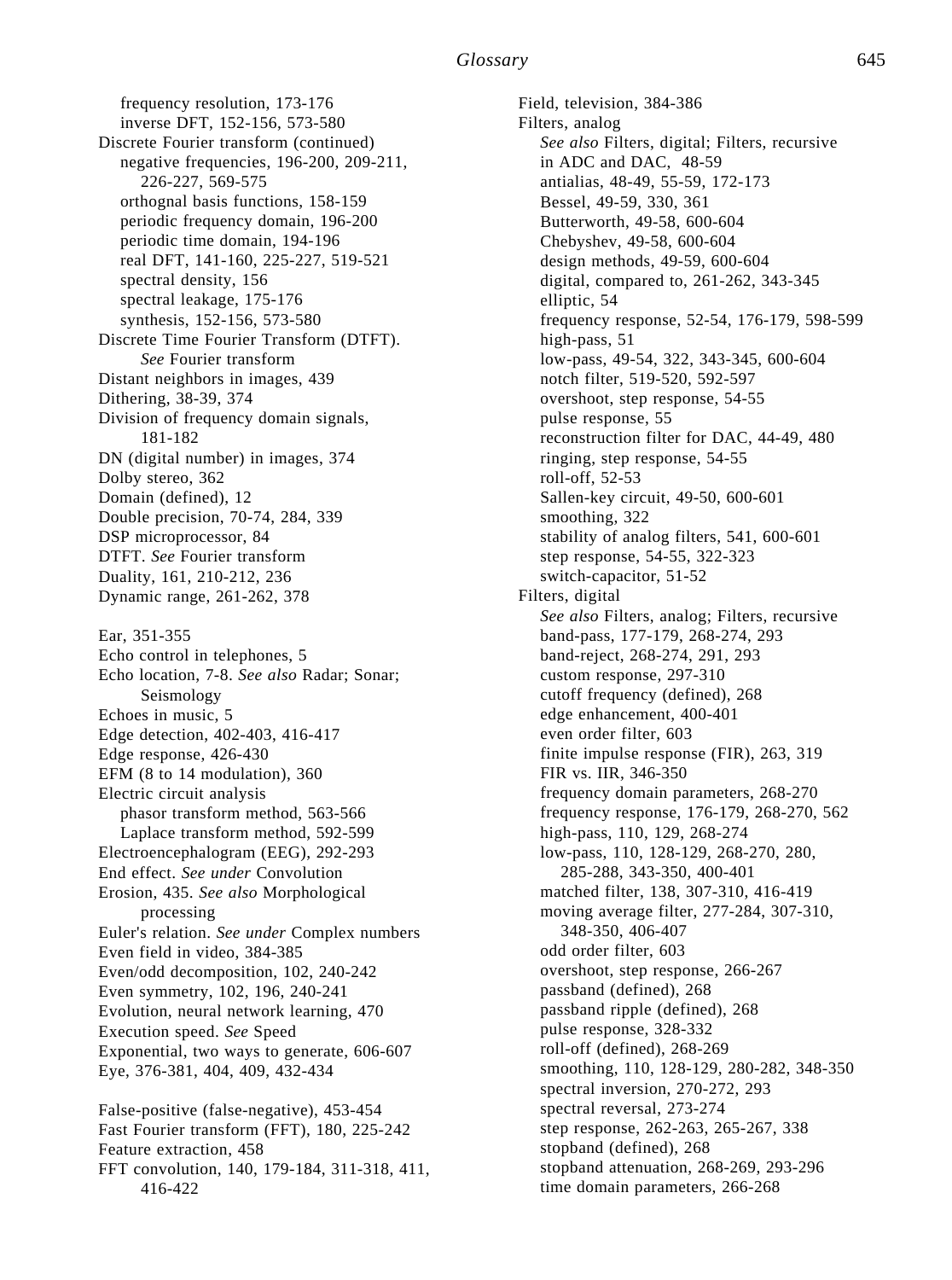frequency resolution, 173-176 inverse DFT, 152-156, 573-580 Discrete Fourier transform (continued) negative frequencies, 196-200, 209-211, 226-227, 569-575 orthognal basis functions, 158-159 periodic frequency domain, 196-200 periodic time domain, 194-196 real DFT, 141-160, 225-227, 519-521 spectral density, 156 spectral leakage, 175-176 synthesis, 152-156, 573-580 Discrete Time Fourier Transform (DTFT). *See* Fourier transform Distant neighbors in images, 439 Dithering, 38-39, 374 Division of frequency domain signals, 181-182 DN (digital number) in images, 374 Dolby stereo, 362 Domain (defined), 12 Double precision, 70-74, 284, 339 DSP microprocessor, 84 DTFT. *See* Fourier transform Duality, 161, 210-212, 236 Dynamic range, 261-262, 378 Ear, 351-355 Echo control in telephones, 5 Echo location, 7-8. *See also* Radar; Sonar;

Seismology Echoes in music, 5 Edge detection, 402-403, 416-417 Edge response, 426-430 EFM (8 to 14 modulation), 360 Electric circuit analysis phasor transform method, 563-566 Laplace transform method, 592-599 Electroencephalogram (EEG), 292-293 End effect. *See under* Convolution Erosion, 435. *See also* Morphological processing Euler's relation. *See under* Complex numbers Even field in video, 384-385 Even/odd decomposition, 102, 240-242 Even symmetry, 102, 196, 240-241 Evolution, neural network learning, 470 Execution speed. *See* Speed Exponential, two ways to generate, 606-607 Eye, 376-381, 404, 409, 432-434 False-positive (false-negative), 453-454

Fast Fourier transform (FFT), 180, 225-242 Feature extraction, 458 FFT convolution, 140, 179-184, 311-318, 411, 416-422

Field, television, 384-386 Filters, analog *See also* Filters, digital; Filters, recursive in ADC and DAC, 48-59 antialias, 48-49, 55-59, 172-173 Bessel, 49-59, 330, 361 Butterworth, 49-58, 600-604 Chebyshev, 49-58, 600-604 design methods, 49-59, 600-604 digital, compared to, 261-262, 343-345 elliptic, 54 frequency response, 52-54, 176-179, 598-599 high-pass, 51 low-pass, 49-54, 322, 343-345, 600-604 notch filter, 519-520, 592-597 overshoot, step response, 54-55 pulse response, 55 reconstruction filter for DAC, 44-49, 480 ringing, step response, 54-55 roll-off, 52-53 Sallen-key circuit, 49-50, 600-601 smoothing, 322 stability of analog filters, 541, 600-601 step response, 54-55, 322-323 switch-capacitor, 51-52 Filters, digital *See also* Filters, analog; Filters, recursive band-pass, 177-179, 268-274, 293 band-reject, 268-274, 291, 293 custom response, 297-310 cutoff frequency (defined), 268 edge enhancement, 400-401 even order filter, 603 finite impulse response (FIR), 263, 319 FIR vs. IIR, 346-350 frequency domain parameters, 268-270 frequency response, 176-179, 268-270, 562 high-pass, 110, 129, 268-274 low-pass, 110, 128-129, 268-270, 280, 285-288, 343-350, 400-401 matched filter, 138, 307-310, 416-419 moving average filter, 277-284, 307-310, 348-350, 406-407 odd order filter, 603 overshoot, step response, 266-267 passband (defined), 268 passband ripple (defined), 268 pulse response, 328-332 roll-off (defined), 268-269 smoothing, 110, 128-129, 280-282, 348-350 spectral inversion, 270-272, 293 spectral reversal, 273-274 step response, 262-263, 265-267, 338 stopband (defined), 268 stopband attenuation, 268-269, 293-296 time domain parameters, 266-268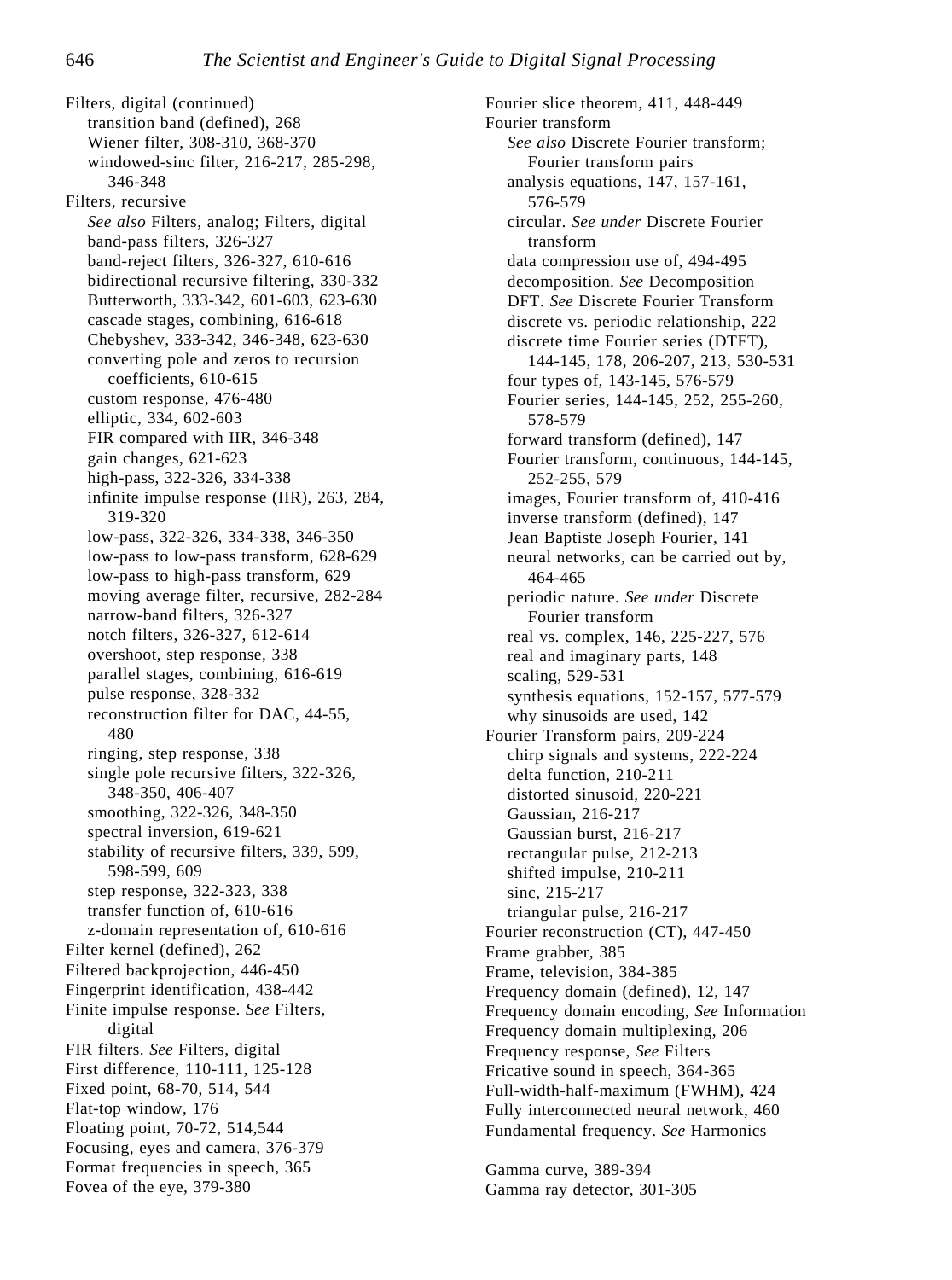Filters, digital (continued) transition band (defined), 268 Wiener filter, 308-310, 368-370 windowed-sinc filter, 216-217, 285-298, 346-348 Filters, recursive *See also* Filters, analog; Filters, digital band-pass filters, 326-327 band-reject filters, 326-327, 610-616 bidirectional recursive filtering, 330-332 Butterworth, 333-342, 601-603, 623-630 cascade stages, combining, 616-618 Chebyshev, 333-342, 346-348, 623-630 converting pole and zeros to recursion coefficients, 610-615 custom response, 476-480 elliptic, 334, 602-603 FIR compared with IIR, 346-348 gain changes, 621-623 high-pass, 322-326, 334-338 infinite impulse response (IIR), 263, 284, 319-320 low-pass, 322-326, 334-338, 346-350 low-pass to low-pass transform, 628-629 low-pass to high-pass transform, 629 moving average filter, recursive, 282-284 narrow-band filters, 326-327 notch filters, 326-327, 612-614 overshoot, step response, 338 parallel stages, combining, 616-619 pulse response, 328-332 reconstruction filter for DAC, 44-55, 480 ringing, step response, 338 single pole recursive filters, 322-326, 348-350, 406-407 smoothing, 322-326, 348-350 spectral inversion, 619-621 stability of recursive filters, 339, 599, 598-599, 609 step response, 322-323, 338 transfer function of, 610-616 z-domain representation of, 610-616 Filter kernel (defined), 262 Filtered backprojection, 446-450 Fingerprint identification, 438-442 Finite impulse response. *See* Filters, digital FIR filters. *See* Filters, digital First difference, 110-111, 125-128 Fixed point, 68-70, 514, 544 Flat-top window, 176 Floating point, 70-72, 514,544 Focusing, eyes and camera, 376-379 Format frequencies in speech, 365 Fovea of the eye, 379-380

Fourier slice theorem, 411, 448-449 Fourier transform *See also* Discrete Fourier transform; Fourier transform pairs analysis equations, 147, 157-161, 576-579 circular. *See under* Discrete Fourier transform data compression use of, 494-495 decomposition. *See* Decomposition DFT. *See* Discrete Fourier Transform discrete vs. periodic relationship, 222 discrete time Fourier series (DTFT), 144-145, 178, 206-207, 213, 530-531 four types of, 143-145, 576-579 Fourier series, 144-145, 252, 255-260, 578-579 forward transform (defined), 147 Fourier transform, continuous, 144-145, 252-255, 579 images, Fourier transform of, 410-416 inverse transform (defined), 147 Jean Baptiste Joseph Fourier, 141 neural networks, can be carried out by, 464-465 periodic nature. *See under* Discrete Fourier transform real vs. complex, 146, 225-227, 576 real and imaginary parts, 148 scaling, 529-531 synthesis equations, 152-157, 577-579 why sinusoids are used, 142 Fourier Transform pairs, 209-224 chirp signals and systems, 222-224 delta function, 210-211 distorted sinusoid, 220-221 Gaussian, 216-217 Gaussian burst, 216-217 rectangular pulse, 212-213 shifted impulse, 210-211 sinc, 215-217 triangular pulse, 216-217 Fourier reconstruction (CT), 447-450 Frame grabber, 385 Frame, television, 384-385 Frequency domain (defined), 12, 147 Frequency domain encoding, *See* Information Frequency domain multiplexing, 206 Frequency response, *See* Filters Fricative sound in speech, 364-365 Full-width-half-maximum (FWHM), 424 Fully interconnected neural network, 460 Fundamental frequency. *See* Harmonics

Gamma curve, 389-394 Gamma ray detector, 301-305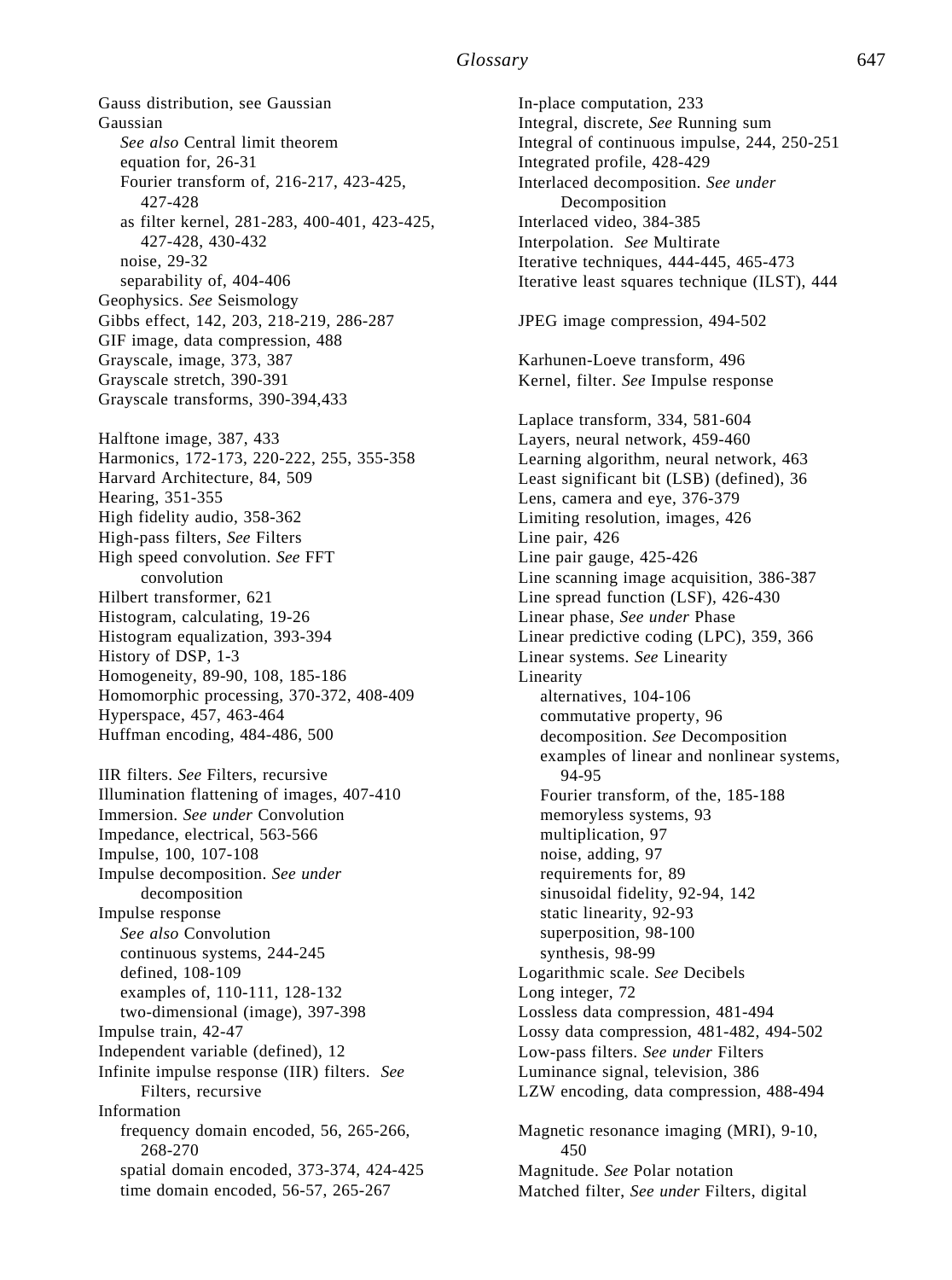## *Glossary* 647

Gauss distribution, see Gaussian Gaussian *See also* Central limit theorem equation for, 26-31 Fourier transform of, 216-217, 423-425, 427-428 as filter kernel, 281-283, 400-401, 423-425, 427-428, 430-432 noise, 29-32 separability of, 404-406 Geophysics. *See* Seismology Gibbs effect, 142, 203, 218-219, 286-287 GIF image, data compression, 488 Grayscale, image, 373, 387 Grayscale stretch, 390-391 Grayscale transforms, 390-394,433 Halftone image, 387, 433 Harmonics, 172-173, 220-222, 255, 355-358 Harvard Architecture, 84, 509 Hearing, 351-355 High fidelity audio, 358-362 High-pass filters, *See* Filters High speed convolution. *See* FFT convolution Hilbert transformer, 621 Histogram, calculating, 19-26 Histogram equalization, 393-394 History of DSP, 1-3 Homogeneity, 89-90, 108, 185-186 Homomorphic processing, 370-372, 408-409 Hyperspace, 457, 463-464 Huffman encoding, 484-486, 500 IIR filters. *See* Filters, recursive Illumination flattening of images, 407-410 Immersion. *See under* Convolution Impedance, electrical, 563-566 Impulse, 100, 107-108 Impulse decomposition. *See under*  decomposition Impulse response *See also* Convolution continuous systems, 244-245 defined, 108-109 examples of, 110-111, 128-132 two-dimensional (image), 397-398 Impulse train, 42-47 Independent variable (defined), 12 Infinite impulse response (IIR) filters. *See* Filters, recursive Information frequency domain encoded, 56, 265-266, 268-270 spatial domain encoded, 373-374, 424-425 time domain encoded, 56-57, 265-267

In-place computation, 233 Integral, discrete, *See* Running sum Integral of continuous impulse, 244, 250-251 Integrated profile, 428-429 Interlaced decomposition. *See under* Decomposition Interlaced video, 384-385 Interpolation. *See* Multirate Iterative techniques, 444-445, 465-473 Iterative least squares technique (ILST), 444 JPEG image compression, 494-502 Karhunen-Loeve transform, 496 Kernel, filter. *See* Impulse response Laplace transform, 334, 581-604 Layers, neural network, 459-460 Learning algorithm, neural network, 463 Least significant bit (LSB) (defined), 36 Lens, camera and eye, 376-379 Limiting resolution, images, 426 Line pair, 426 Line pair gauge, 425-426 Line scanning image acquisition, 386-387 Line spread function (LSF), 426-430 Linear phase, *See under* Phase Linear predictive coding (LPC), 359, 366 Linear systems. *See* Linearity Linearity alternatives, 104-106 commutative property, 96 decomposition. *See* Decomposition examples of linear and nonlinear systems, 94-95 Fourier transform, of the, 185-188 memoryless systems, 93 multiplication, 97 noise, adding, 97 requirements for, 89 sinusoidal fidelity, 92-94, 142 static linearity, 92-93 superposition, 98-100 synthesis, 98-99 Logarithmic scale. *See* Decibels Long integer, 72 Lossless data compression, 481-494 Lossy data compression, 481-482, 494-502 Low-pass filters. *See under* Filters Luminance signal, television, 386 LZW encoding, data compression, 488-494 Magnetic resonance imaging (MRI), 9-10, 450 Magnitude. *See* Polar notation Matched filter, *See under* Filters, digital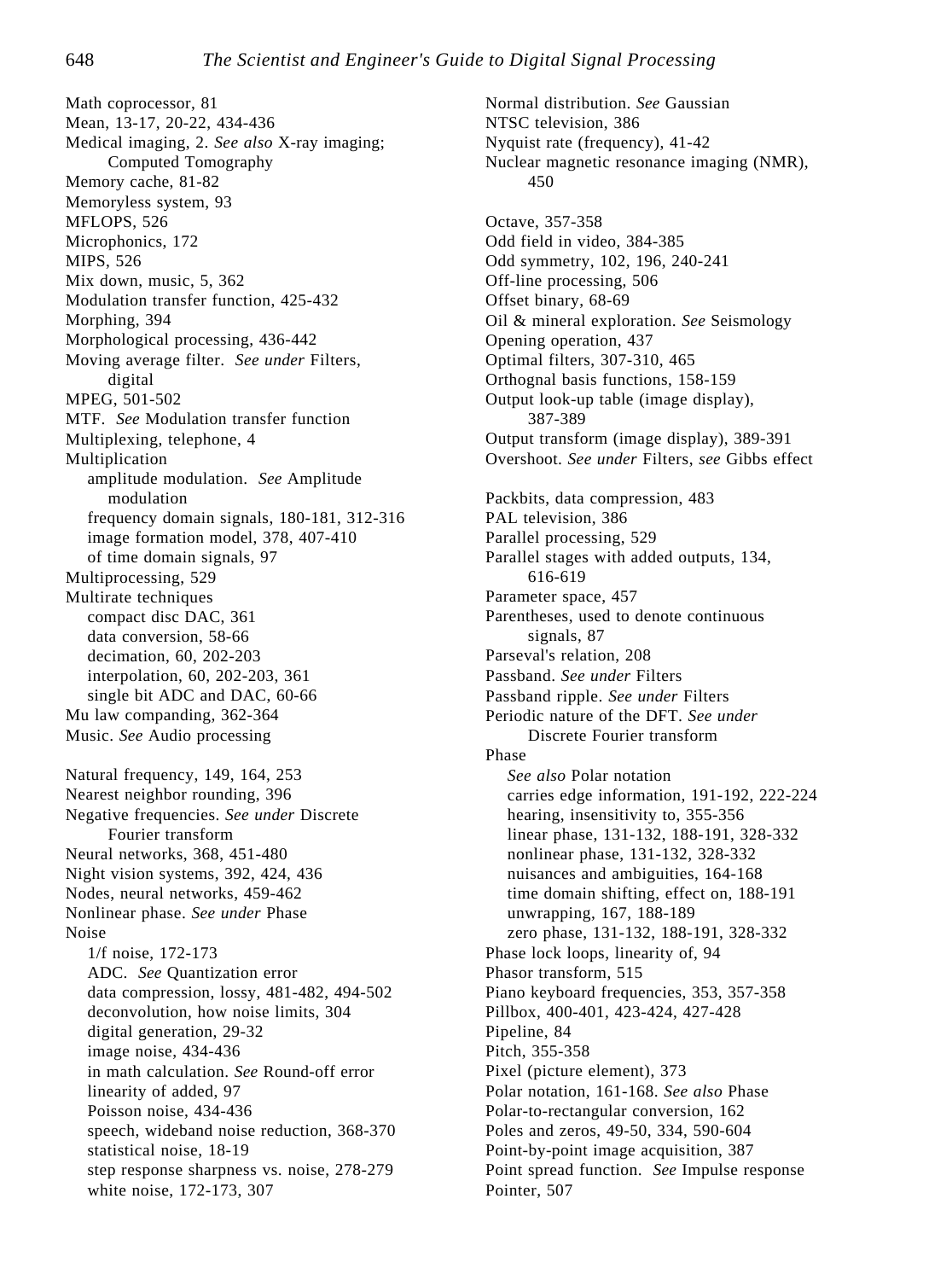Math coprocessor, 81 Mean, 13-17, 20-22, 434-436 Medical imaging, 2. *See also* X-ray imaging; Computed Tomography Memory cache, 81-82 Memoryless system, 93 MFLOPS, 526 Microphonics, 172 MIPS, 526 Mix down, music, 5, 362 Modulation transfer function, 425-432 Morphing, 394 Morphological processing, 436-442 Moving average filter. *See under* Filters, digital MPEG, 501-502 MTF. *See* Modulation transfer function Multiplexing, telephone, 4 Multiplication amplitude modulation. *See* Amplitude modulation frequency domain signals, 180-181, 312-316 image formation model, 378, 407-410 of time domain signals, 97 Multiprocessing, 529 Multirate techniques compact disc DAC, 361 data conversion, 58-66 decimation, 60, 202-203 interpolation, 60, 202-203, 361 single bit ADC and DAC, 60-66 Mu law companding, 362-364 Music. *See* Audio processing Natural frequency, 149, 164, 253 Nearest neighbor rounding, 396 Negative frequencies. *See under* Discrete Fourier transform Neural networks, 368, 451-480 Night vision systems, 392, 424, 436 Nodes, neural networks, 459-462 Nonlinear phase. *See under* Phase Noise 1/f noise, 172-173 ADC. *See* Quantization error data compression, lossy, 481-482, 494-502 deconvolution, how noise limits, 304 digital generation, 29-32 image noise, 434-436 in math calculation. *See* Round-off error linearity of added, 97 Poisson noise, 434-436 speech, wideband noise reduction, 368-370 statistical noise, 18-19 step response sharpness vs. noise, 278-279 white noise, 172-173, 307

Normal distribution. *See* Gaussian NTSC television, 386 Nyquist rate (frequency), 41-42 Nuclear magnetic resonance imaging (NMR), 450 Octave, 357-358 Odd field in video, 384-385 Odd symmetry, 102, 196, 240-241 Off-line processing, 506 Offset binary, 68-69 Oil & mineral exploration. *See* Seismology Opening operation, 437 Optimal filters, 307-310, 465 Orthognal basis functions, 158-159 Output look-up table (image display), 387-389 Output transform (image display), 389-391 Overshoot. *See under* Filters, *see* Gibbs effect Packbits, data compression, 483 PAL television, 386 Parallel processing, 529 Parallel stages with added outputs, 134, 616-619 Parameter space, 457 Parentheses, used to denote continuous signals, 87 Parseval's relation, 208 Passband. *See under* Filters Passband ripple. *See under* Filters Periodic nature of the DFT. *See under* Discrete Fourier transform Phase *See also* Polar notation carries edge information, 191-192, 222-224 hearing, insensitivity to, 355-356 linear phase, 131-132, 188-191, 328-332 nonlinear phase, 131-132, 328-332 nuisances and ambiguities, 164-168 time domain shifting, effect on, 188-191 unwrapping, 167, 188-189 zero phase, 131-132, 188-191, 328-332 Phase lock loops, linearity of, 94 Phasor transform, 515 Piano keyboard frequencies, 353, 357-358 Pillbox, 400-401, 423-424, 427-428 Pipeline, 84 Pitch, 355-358 Pixel (picture element), 373 Polar notation, 161-168. *See also* Phase Polar-to-rectangular conversion, 162 Poles and zeros, 49-50, 334, 590-604 Point-by-point image acquisition, 387 Point spread function. *See* Impulse response Pointer, 507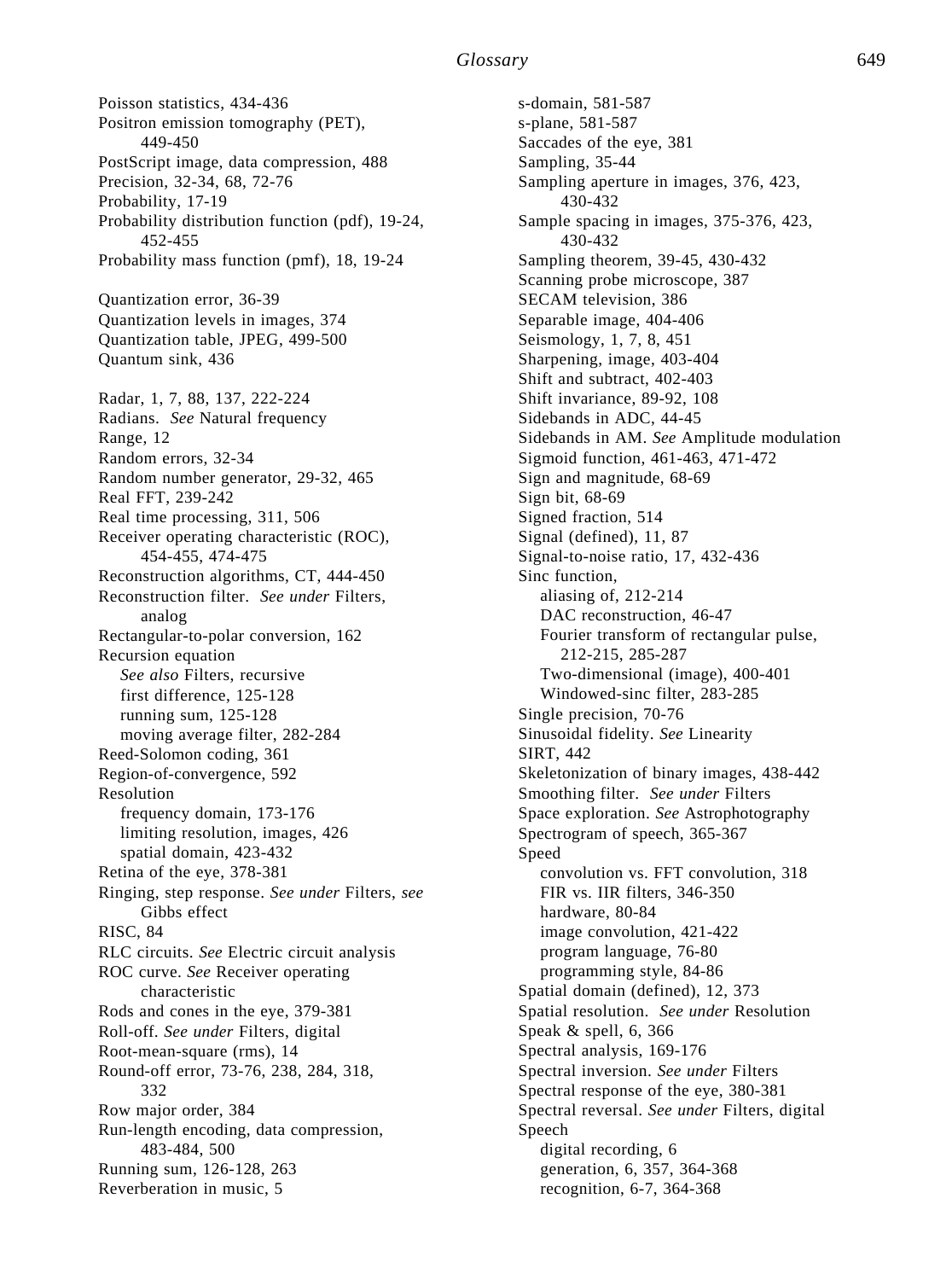Poisson statistics, 434-436 Positron emission tomography (PET), 449-450 PostScript image, data compression, 488 Precision, 32-34, 68, 72-76 Probability, 17-19 Probability distribution function (pdf), 19-24, 452-455 Probability mass function (pmf), 18, 19-24 Quantization error, 36-39 Quantization levels in images, 374 Quantization table, JPEG, 499-500 Quantum sink, 436 Radar, 1, 7, 88, 137, 222-224 Radians. *See* Natural frequency Range, 12 Random errors, 32-34 Random number generator, 29-32, 465 Real FFT, 239-242 Real time processing, 311, 506 Receiver operating characteristic (ROC), 454-455, 474-475 Reconstruction algorithms, CT, 444-450 Reconstruction filter. *See under* Filters, analog Rectangular-to-polar conversion, 162 Recursion equation *See also* Filters, recursive first difference, 125-128 running sum, 125-128 moving average filter, 282-284 Reed-Solomon coding, 361 Region-of-convergence, 592 Resolution frequency domain, 173-176 limiting resolution, images, 426 spatial domain, 423-432 Retina of the eye, 378-381 Ringing, step response. *See under* Filters, *see* Gibbs effect RISC, 84 RLC circuits. *See* Electric circuit analysis ROC curve. *See* Receiver operating characteristic Rods and cones in the eye, 379-381 Roll-off. *See under* Filters, digital Root-mean-square (rms), 14 Round-off error, 73-76, 238, 284, 318, 332 Row major order, 384 Run-length encoding, data compression, 483-484, 500 Running sum, 126-128, 263 Reverberation in music, 5

s-domain, 581-587 s-plane, 581-587 Saccades of the eye, 381 Sampling, 35-44 Sampling aperture in images, 376, 423, 430-432 Sample spacing in images, 375-376, 423, 430-432 Sampling theorem, 39-45, 430-432 Scanning probe microscope, 387 SECAM television, 386 Separable image, 404-406 Seismology, 1, 7, 8, 451 Sharpening, image, 403-404 Shift and subtract, 402-403 Shift invariance, 89-92, 108 Sidebands in ADC, 44-45 Sidebands in AM. *See* Amplitude modulation Sigmoid function, 461-463, 471-472 Sign and magnitude, 68-69 Sign bit, 68-69 Signed fraction, 514 Signal (defined), 11, 87 Signal-to-noise ratio, 17, 432-436 Sinc function, aliasing of, 212-214 DAC reconstruction, 46-47 Fourier transform of rectangular pulse, 212-215, 285-287 Two-dimensional (image), 400-401 Windowed-sinc filter, 283-285 Single precision, 70-76 Sinusoidal fidelity. *See* Linearity SIRT, 442 Skeletonization of binary images, 438-442 Smoothing filter. *See under* Filters Space exploration. *See* Astrophotography Spectrogram of speech, 365-367 Speed convolution vs. FFT convolution, 318 FIR vs. IIR filters, 346-350 hardware, 80-84 image convolution, 421-422 program language, 76-80 programming style, 84-86 Spatial domain (defined), 12, 373 Spatial resolution. *See under* Resolution Speak & spell, 6, 366 Spectral analysis, 169-176 Spectral inversion. *See under* Filters Spectral response of the eye, 380-381 Spectral reversal. *See under* Filters, digital Speech digital recording, 6 generation, 6, 357, 364-368 recognition, 6-7, 364-368